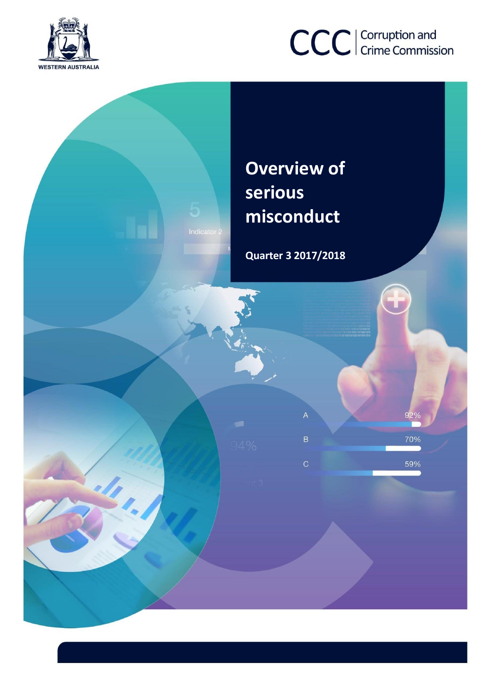

# CCC | Corruption and

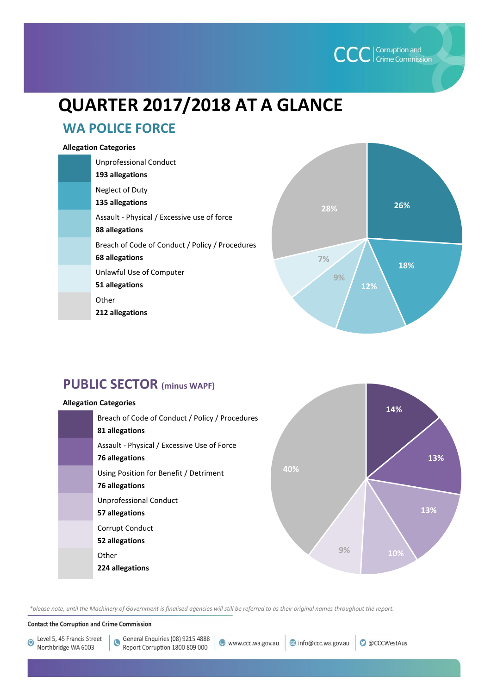

# **QUARTER 2017/2018 AT A GLANCE**

# **WA POLICE FORCE**

#### **Allegation Categories**

| <b>Unprofessional Conduct</b><br>193 allegations                  |
|-------------------------------------------------------------------|
| Neglect of Duty<br>135 allegations                                |
| Assault - Physical / Excessive use of force<br>88 allegations     |
| Breach of Code of Conduct / Policy / Procedures<br>68 allegations |
| Unlawful Use of Computer<br>51 allegations                        |
| Other<br>212 allegations                                          |



# **PUBLIC SECTOR (minus WAPF)**

#### **Allegation Categories**





*\*please note, until the Machinery of Government is finalised agencies will still be referred to as their original names throughout the report.*

**Contact the Corruption and Crime Commission** 

Level 5, 45 Francis Street  $\bullet$ Northbridge WA 6003

General Enquiries (08) 9215 4888 Report Corruption 1800 809 000

www.ccc.wa.gov.au info@ccc.wa.gov.au

**O** @CCCWestAus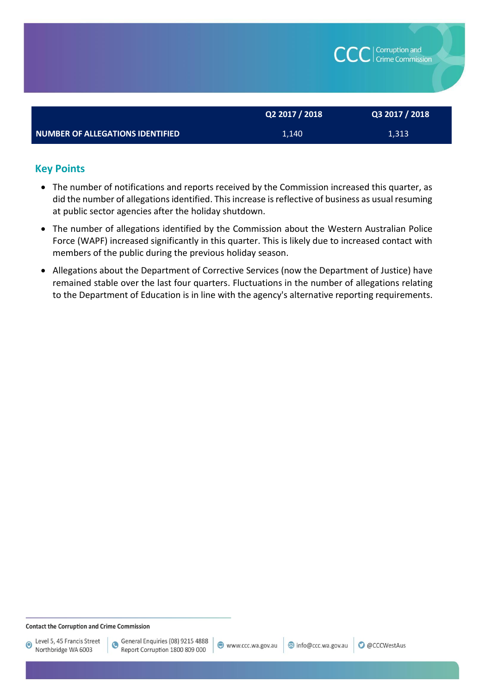|                                         |                | <b>CCC</b> Crime Commission |  |  |  |  |
|-----------------------------------------|----------------|-----------------------------|--|--|--|--|
|                                         | Q2 2017 / 2018 | Q3 2017 / 2018              |  |  |  |  |
| <b>NUMBER OF ALLEGATIONS IDENTIFIED</b> | 1,140          | 1,313                       |  |  |  |  |

# **Key Points**

- The number of notifications and reports received by the Commission increased this quarter, as did the number of allegations identified. This increase is reflective of business as usual resuming at public sector agencies after the holiday shutdown.
- The number of allegations identified by the Commission about the Western Australian Police Force (WAPF) increased significantly in this quarter. This is likely due to increased contact with members of the public during the previous holiday season.
- Allegations about the Department of Corrective Services (now the Department of Justice) have remained stable over the last four quarters. Fluctuations in the number of allegations relating to the Department of Education is in line with the agency's alternative reporting requirements.

 $\bullet$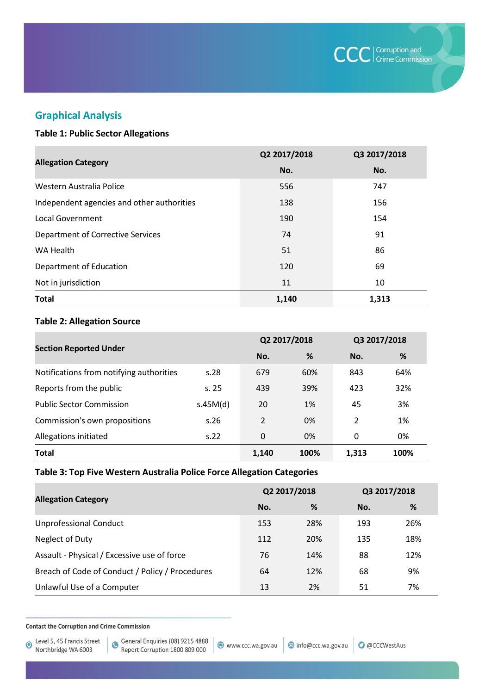

# **Graphical Analysis**

#### **Table 1: Public Sector Allegations**

|                                            | Q2 2017/2018 | Q3 2017/2018 |
|--------------------------------------------|--------------|--------------|
| <b>Allegation Category</b>                 | No.          | No.          |
| Western Australia Police                   | 556          | 747          |
| Independent agencies and other authorities | 138          | 156          |
| Local Government                           | 190          | 154          |
| <b>Department of Corrective Services</b>   | 74           | 91           |
| WA Health                                  | 51           | 86           |
| Department of Education                    | 120          | 69           |
| Not in jurisdiction                        | 11           | 10           |
| <b>Total</b>                               | 1,140        | 1,313        |

#### **Table 2: Allegation Source**

|                                          |          | Q2 2017/2018 |      | Q3 2017/2018 |      |
|------------------------------------------|----------|--------------|------|--------------|------|
| <b>Section Reported Under</b>            |          | No.          | %    | No.          | %    |
| Notifications from notifying authorities | s.28     | 679          | 60%  | 843          | 64%  |
| Reports from the public                  | s.25     | 439          | 39%  | 423          | 32%  |
| <b>Public Sector Commission</b>          | s.45M(d) | 20           | 1%   | 45           | 3%   |
| Commission's own propositions            | s.26     | 2            | 0%   | 2            | 1%   |
| Allegations initiated                    | S.22     | 0            | 0%   | 0            | 0%   |
| <b>Total</b>                             |          | 1,140        | 100% | 1,313        | 100% |

#### **Table 3: Top Five Western Australia Police Force Allegation Categories**

| <b>Allegation Category</b>                      | Q2 2017/2018 |     | Q3 2017/2018 |     |
|-------------------------------------------------|--------------|-----|--------------|-----|
|                                                 | No.          | %   | No.          | %   |
| <b>Unprofessional Conduct</b>                   | 153          | 28% | 193          | 26% |
| Neglect of Duty                                 | 112          | 20% | 135          | 18% |
| Assault - Physical / Excessive use of force     | 76           | 14% | 88           | 12% |
| Breach of Code of Conduct / Policy / Procedures | 64           | 12% | 68           | 9%  |
| Unlawful Use of a Computer                      | 13           | 2%  | 51           | 7%  |

**Contact the Corruption and Crime Commission**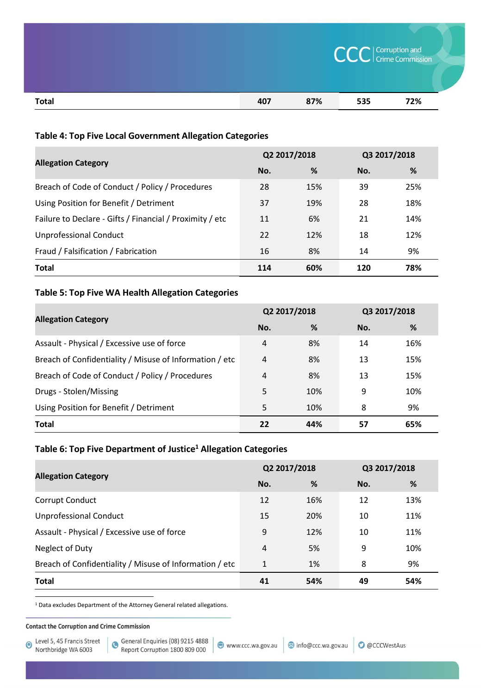|       | <b>CCC</b> Crime Commission |     |     |     |  |
|-------|-----------------------------|-----|-----|-----|--|
| Total | 407                         | 87% | 535 | 72% |  |

### **Table 4: Top Five Local Government Allegation Categories**

| <b>Allegation Category</b>                               | Q2 2017/2018 |     | Q3 2017/2018 |     |
|----------------------------------------------------------|--------------|-----|--------------|-----|
|                                                          | No.          | %   | No.          | %   |
| Breach of Code of Conduct / Policy / Procedures          | 28           | 15% | 39           | 25% |
| Using Position for Benefit / Detriment                   | 37           | 19% | 28           | 18% |
| Failure to Declare - Gifts / Financial / Proximity / etc | 11           | 6%  | 21           | 14% |
| <b>Unprofessional Conduct</b>                            | 22           | 12% | 18           | 12% |
| Fraud / Falsification / Fabrication                      | 16           | 8%  | 14           | 9%  |
| <b>Total</b>                                             | 114          | 60% | 120          | 78% |

#### **Table 5: Top Five WA Health Allegation Categories**

| <b>Allegation Category</b>                              | Q2 2017/2018 |     | Q3 2017/2018 |     |
|---------------------------------------------------------|--------------|-----|--------------|-----|
|                                                         | No.          | %   | No.          | %   |
| Assault - Physical / Excessive use of force             | 4            | 8%  | 14           | 16% |
| Breach of Confidentiality / Misuse of Information / etc | 4            | 8%  | 13           | 15% |
| Breach of Code of Conduct / Policy / Procedures         | 4            | 8%  | 13           | 15% |
| Drugs - Stolen/Missing                                  | 5            | 10% | 9            | 10% |
| Using Position for Benefit / Detriment                  | 5            | 10% | 8            | 9%  |
| <b>Total</b>                                            | 22           | 44% | 57           | 65% |

#### **Table 6: Top Five Department of Justice<sup>1</sup> Allegation Categories**

|                                                         | Q2 2017/2018 |     | Q3 2017/2018 |     |
|---------------------------------------------------------|--------------|-----|--------------|-----|
| <b>Allegation Category</b>                              | No.          | %   | No.          | %   |
| Corrupt Conduct                                         | 12           | 16% | 12           | 13% |
| <b>Unprofessional Conduct</b>                           | 15           | 20% | 10           | 11% |
| Assault - Physical / Excessive use of force             | 9            | 12% | 10           | 11% |
| Neglect of Duty                                         | 4            | 5%  | 9            | 10% |
| Breach of Confidentiality / Misuse of Information / etc | 1            | 1%  | 8            | 9%  |
| <b>Total</b>                                            | 41           | 54% | 49           | 54% |

 $^1$  Data excludes Department of the Attorney General related allegations.

#### **Contact the Corruption and Crime Commission**

 $\overline{a}$